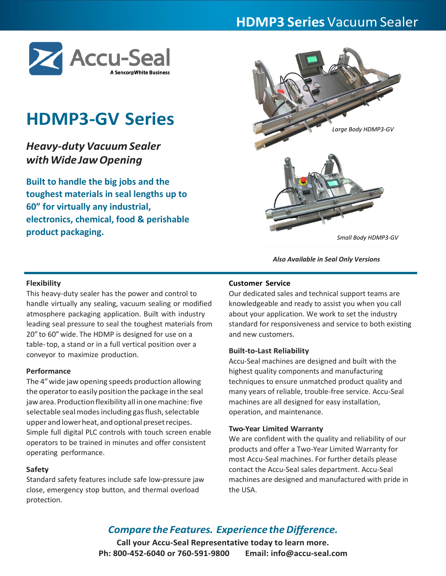# **HDMP3 Series** Vacuum Sealer



# **HDMP3-GV Series**

# *Heavy-duty Vacuum Sealer withWideJawOpening*

**Built to handle the big jobs and the toughest materials in seal lengths up to 60" for virtually any industrial, electronics, chemical, food & perishable product packaging.**



*Also Available in Seal Only Versions*

## **Flexibility**

This heavy-duty sealer has the power and control to handle virtually any sealing, vacuum sealing or modified atmosphere packaging application. Built with industry leading seal pressure to seal the toughest materials from 20" to 60" wide. The HDMP is designed for use on a table-top, a stand or in a full vertical position over a conveyor to maximize production.

## **Performance**

The 4"wide jaw opening speeds production allowing the operator to easily position the package in the seal jaw area. Production flexibility all in one machine: five selectable seal modes including gas flush, selectable upper and lower heat, and optional preset recipes. Simple full digital PLC controls with touch screen enable operators to be trained in minutes and offer consistent operating performance.

## **Safety**

Standard safety features include safe low-pressure jaw close, emergency stop button, and thermal overload protection.

#### **Customer Service**

Our dedicated sales and technical support teams are knowledgeable and ready to assist you when you call about your application. We work to set the industry standard for responsiveness and service to both existing and new customers.

#### **Built-to-Last Reliability**

Accu-Seal machines are designed and built with the highest quality components and manufacturing techniques to ensure unmatched product quality and many years of reliable, trouble-free service. Accu-Seal machines are all designed for easy installation, operation, and maintenance.

#### **Two-Year Limited Warranty**

We are confident with the quality and reliability of our products and offer a Two-Year Limited Warranty for most Accu-Seal machines. For further details please contact the Accu-Seal sales department. Accu-Seal machines are designed and manufactured with pride in the USA.

# *Compare the Features. Experience the Difference.*

**Call your Accu-Seal Representative today to learn more. Ph: 800-452-6040 or 760-591-9800 Email: info@accu-seal.com**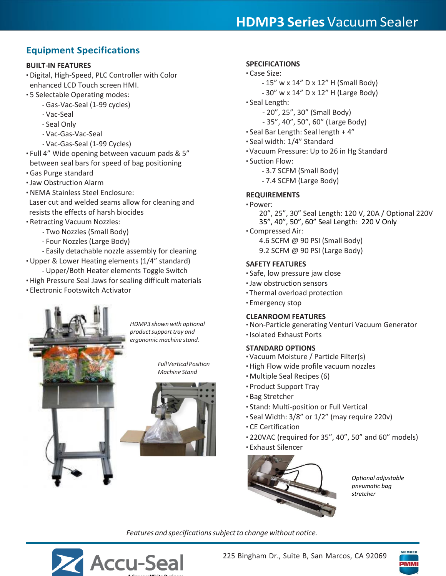# **HDMP3 Series** Vacuum Sealer

# **Equipment Specifications**

# **BUILT-IN FEATURES**

- Digital, High-Speed, PLC Controller with Color enhanced LCD Touch screen HMI.
- 5 Selectable Operating modes:
	- Gas-Vac-Seal (1-99 cycles)
		- Vac-Seal
		- Seal Only
		- Vac-Gas-Vac-Seal
		- Vac-Gas-Seal (1-99 Cycles)
- Full 4" Wide opening between vacuum pads & 5" between seal bars for speed of bag positioning
- Gas Purge standard
- Jaw Obstruction Alarm
- NEMA Stainless Steel Enclosure: Laser cut and welded seams allow for cleaning and resists the effects of harsh biocides
- Retracting Vacuum Nozzles:
	- Two Nozzles (Small Body)
	- Four Nozzles (Large Body)
- Easily detachable nozzle assembly for cleaning
- Upper & Lower Heating elements (1/4" standard)
	- Upper/Both Heater elements Toggle Switch
- High Pressure Seal Jaws for sealing difficult materials
- Electronic Footswitch Activator

*HDMP3 shown with optional productsupporttray and ergonomic machine stand.*

> *FullVertical Position Machine Stand*



# **SPECIFICATIONS**

- Case Size:
	- 15" w x 14" D x 12" H (Small Body)
	- 30" w x 14" D x 12" H (Large Body)
- Seal Length:
	- 20", 25", 30" (Small Body)
	- 35", 40", 50", 60" (Large Body)
- Seal Bar Length: Seal length + 4"
- Seal width: 1/4" Standard
- Vacuum Pressure: Up to 26 in Hg Standard
- Suction Flow:
	- 3.7 SCFM (Small Body)
	- 7.4 SCFM (Large Body)

# **REQUIREMENTS**

- Power:
	- 20", 25", 30" Seal Length: 120 V, 20A / Optional 220V 35", 40", 50", 60" Seal Length: 220 V Only
- Compressed Air:
	- 4.6 SCFM @ 90 PSI (Small Body)
	- 9.2 SCFM @ 90 PSI (Large Body)

## **SAFETY FEATURES**

- Safe, low pressure jaw close
- Jaw obstruction sensors
- Thermal overload protection
- Emergency stop

## **CLEANROOM FEATURES**

- Non-Particle generating Venturi Vacuum Generator
- Isolated Exhaust Ports

# **STANDARD OPTIONS**

- Vacuum Moisture / Particle Filter(s)
- High Flow wide profile vacuum nozzles
- Multiple Seal Recipes (6)
- Product Support Tray
- Bag Stretcher
- Stand: Multi-position or Full Vertical
- Seal Width: 3/8" or 1/2" (may require 220v)
- CE Certification
- 220VAC (required for 35", 40", 50" and 60" models)
- Exhaust Silencer



*Optional adjustable pneumatic bag stretcher*

*Features* and *specifications subject* to *change* without notice.